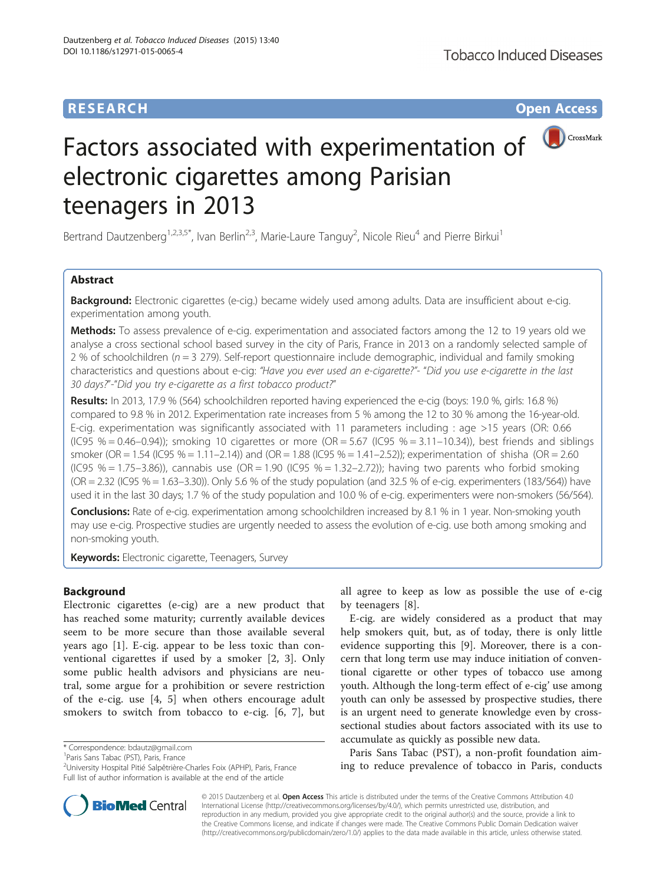# **RESEARCH CHILD CONTROL** CONTROL CONTROL CONTROL CONTROL CONTROL CONTROL CONTROL CONTROL CONTROL CONTROL CONTROL CONTROL CONTROL CONTROL CONTROL CONTROL CONTROL CONTROL CONTROL CONTROL CONTROL CONTROL CONTROL CONTROL CONTR



# Factors associated with experimentation of electronic cigarettes among Parisian teenagers in 2013

Bertrand Dautzenberg<sup>1,2,3,5\*</sup>, Ivan Berlin<sup>2,3</sup>, Marie-Laure Tanguy<sup>2</sup>, Nicole Rieu<sup>4</sup> and Pierre Birkui<sup>1</sup>

# Abstract

Background: Electronic cigarettes (e-cig.) became widely used among adults. Data are insufficient about e-cig. experimentation among youth.

Methods: To assess prevalence of e-cig. experimentation and associated factors among the 12 to 19 years old we analyse a cross sectional school based survey in the city of Paris, France in 2013 on a randomly selected sample of 2 % of schoolchildren ( $n = 3$  279). Self-report questionnaire include demographic, individual and family smoking characteristics and questions about e-cig: "Have you ever used an e-cigarette?"- "Did you use e-cigarette in the last 30 days?"-"Did you try e-cigarette as a first tobacco product?"

Results: In 2013, 17.9 % (564) schoolchildren reported having experienced the e-cig (boys: 19.0 %, girls: 16.8 %) compared to 9.8 % in 2012. Experimentation rate increases from 5 % among the 12 to 30 % among the 16-year-old. E-cig. experimentation was significantly associated with 11 parameters including : age >15 years (OR: 0.66  $(1C95 \, % = 0.46 - 0.94)$ ; smoking 10 cigarettes or more  $(OR = 5.67 \, (1C95 \, % = 3.11 - 10.34))$ , best friends and siblings smoker (OR = 1.54 (IC95 % = 1.11–2.14)) and (OR = 1.88 (IC95 % = 1.41–2.52)); experimentation of shisha (OR = 2.60  $(IC95 \, % = 1.75-3.86)$ , cannabis use  $(OR = 1.90 \, (IC95 \, % = 1.32-2.72))$ ; having two parents who forbid smoking (OR = 2.32 (IC95 % = 1.63–3.30)). Only 5.6 % of the study population (and 32.5 % of e-cig. experimenters (183/564)) have used it in the last 30 days; 1.7 % of the study population and 10.0 % of e-cig. experimenters were non-smokers (56/564).

Conclusions: Rate of e-cig. experimentation among schoolchildren increased by 8.1 % in 1 year. Non-smoking youth may use e-cig. Prospective studies are urgently needed to assess the evolution of e-cig. use both among smoking and non-smoking youth.

**Keywords:** Electronic cigarette, Teenagers, Survey

# Background

Electronic cigarettes (e-cig) are a new product that has reached some maturity; currently available devices seem to be more secure than those available several years ago [[1\]](#page-5-0). E-cig. appear to be less toxic than conventional cigarettes if used by a smoker [\[2](#page-5-0), [3\]](#page-5-0). Only some public health advisors and physicians are neutral, some argue for a prohibition or severe restriction of the e-cig. use [[4, 5\]](#page-5-0) when others encourage adult smokers to switch from tobacco to e-cig. [[6, 7](#page-5-0)], but

\* Correspondence: [bdautz@gmail.com](mailto:bdautz@gmail.com) <sup>1</sup>

<sup>1</sup>Paris Sans Tabac (PST), Paris, France

<sup>2</sup>University Hospital Pitié Salpêtrière-Charles Foix (APHP), Paris, France Full list of author information is available at the end of the article



E-cig. are widely considered as a product that may help smokers quit, but, as of today, there is only little evidence supporting this [\[9](#page-5-0)]. Moreover, there is a concern that long term use may induce initiation of conventional cigarette or other types of tobacco use among youth. Although the long-term effect of e-cig' use among youth can only be assessed by prospective studies, there is an urgent need to generate knowledge even by crosssectional studies about factors associated with its use to accumulate as quickly as possible new data.

Paris Sans Tabac (PST), a non-profit foundation aiming to reduce prevalence of tobacco in Paris, conducts



© 2015 Dautzenberg et al. Open Access This article is distributed under the terms of the Creative Commons Attribution 4.0 International License [\(http://creativecommons.org/licenses/by/4.0/](http://creativecommons.org/licenses/by/4.0/)), which permits unrestricted use, distribution, and reproduction in any medium, provided you give appropriate credit to the original author(s) and the source, provide a link to the Creative Commons license, and indicate if changes were made. The Creative Commons Public Domain Dedication waiver [\(http://creativecommons.org/publicdomain/zero/1.0/](http://creativecommons.org/publicdomain/zero/1.0/)) applies to the data made available in this article, unless otherwise stated.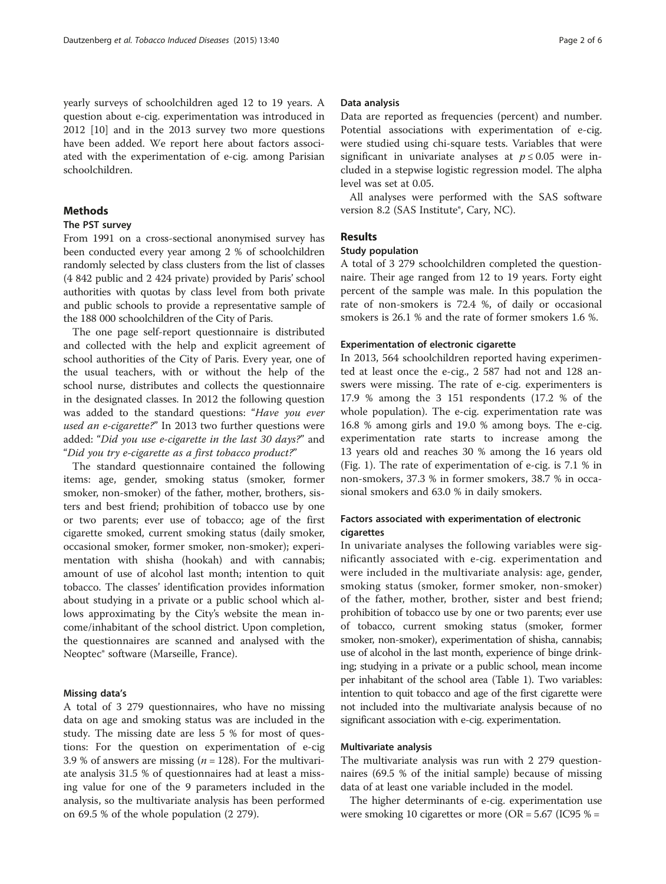yearly surveys of schoolchildren aged 12 to 19 years. A question about e-cig. experimentation was introduced in 2012 [\[10\]](#page-5-0) and in the 2013 survey two more questions have been added. We report here about factors associated with the experimentation of e-cig. among Parisian schoolchildren.

## Methods

# The PST survey

From 1991 on a cross-sectional anonymised survey has been conducted every year among 2 % of schoolchildren randomly selected by class clusters from the list of classes (4 842 public and 2 424 private) provided by Paris' school authorities with quotas by class level from both private and public schools to provide a representative sample of the 188 000 schoolchildren of the City of Paris.

The one page self-report questionnaire is distributed and collected with the help and explicit agreement of school authorities of the City of Paris. Every year, one of the usual teachers, with or without the help of the school nurse, distributes and collects the questionnaire in the designated classes. In 2012 the following question was added to the standard questions: "Have you ever used an e-cigarette?" In 2013 two further questions were added: "Did you use e-cigarette in the last 30 days?" and "Did you try e-cigarette as a first tobacco product?"

The standard questionnaire contained the following items: age, gender, smoking status (smoker, former smoker, non-smoker) of the father, mother, brothers, sisters and best friend; prohibition of tobacco use by one or two parents; ever use of tobacco; age of the first cigarette smoked, current smoking status (daily smoker, occasional smoker, former smoker, non-smoker); experimentation with shisha (hookah) and with cannabis; amount of use of alcohol last month; intention to quit tobacco. The classes' identification provides information about studying in a private or a public school which allows approximating by the City's website the mean income/inhabitant of the school district. Upon completion, the questionnaires are scanned and analysed with the Neoptec® software (Marseille, France).

## Missing data's

A total of 3 279 questionnaires, who have no missing data on age and smoking status was are included in the study. The missing date are less 5 % for most of questions: For the question on experimentation of e-cig 3.9 % of answers are missing ( $n = 128$ ). For the multivariate analysis 31.5 % of questionnaires had at least a missing value for one of the 9 parameters included in the analysis, so the multivariate analysis has been performed on 69.5 % of the whole population (2 279).

## Data analysis

Data are reported as frequencies (percent) and number. Potential associations with experimentation of e-cig. were studied using chi-square tests. Variables that were significant in univariate analyses at  $p \le 0.05$  were included in a stepwise logistic regression model. The alpha level was set at 0.05.

All analyses were performed with the SAS software version 8.2 (SAS Institute®, Cary, NC).

# Results

## Study population

A total of 3 279 schoolchildren completed the questionnaire. Their age ranged from 12 to 19 years. Forty eight percent of the sample was male. In this population the rate of non-smokers is 72.4 %, of daily or occasional smokers is 26.1 % and the rate of former smokers 1.6 %.

## Experimentation of electronic cigarette

In 2013, 564 schoolchildren reported having experimented at least once the e-cig., 2 587 had not and 128 answers were missing. The rate of e-cig. experimenters is 17.9 % among the 3 151 respondents (17.2 % of the whole population). The e-cig. experimentation rate was 16.8 % among girls and 19.0 % among boys. The e-cig. experimentation rate starts to increase among the 13 years old and reaches 30 % among the 16 years old (Fig. [1\)](#page-2-0). The rate of experimentation of e-cig. is 7.1 % in non-smokers, 37.3 % in former smokers, 38.7 % in occasional smokers and 63.0 % in daily smokers.

# Factors associated with experimentation of electronic cigarettes

In univariate analyses the following variables were significantly associated with e-cig. experimentation and were included in the multivariate analysis: age, gender, smoking status (smoker, former smoker, non-smoker) of the father, mother, brother, sister and best friend; prohibition of tobacco use by one or two parents; ever use of tobacco, current smoking status (smoker, former smoker, non-smoker), experimentation of shisha, cannabis; use of alcohol in the last month, experience of binge drinking; studying in a private or a public school, mean income per inhabitant of the school area (Table [1\)](#page-2-0). Two variables: intention to quit tobacco and age of the first cigarette were not included into the multivariate analysis because of no significant association with e-cig. experimentation.

## Multivariate analysis

The multivariate analysis was run with 2 279 questionnaires (69.5 % of the initial sample) because of missing data of at least one variable included in the model.

The higher determinants of e-cig. experimentation use were smoking 10 cigarettes or more ( $OR = 5.67$  (IC95 % =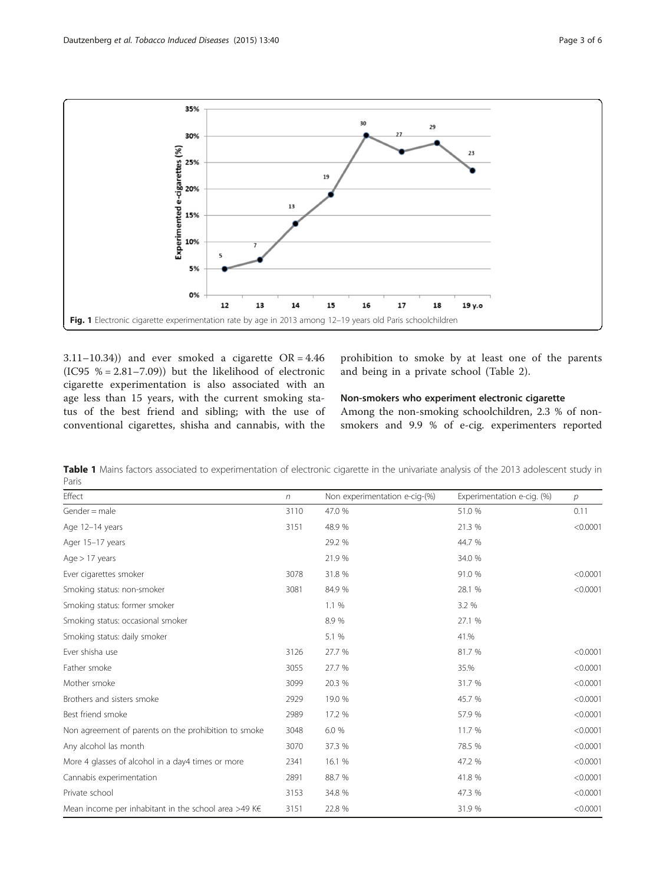<span id="page-2-0"></span>

3.11–10.34)) and ever smoked a cigarette  $OR = 4.46$ (IC95  $% = 2.81-7.09$ ) but the likelihood of electronic cigarette experimentation is also associated with an age less than 15 years, with the current smoking status of the best friend and sibling; with the use of conventional cigarettes, shisha and cannabis, with the

prohibition to smoke by at least one of the parents and being in a private school (Table [2](#page-3-0)).

# Non-smokers who experiment electronic cigarette

Among the non-smoking schoolchildren, 2.3 % of nonsmokers and 9.9 % of e-cig. experimenters reported

| Effect                                                         | $\sqrt{n}$ | Non experimentation e-cig-(%) | Experimentation e-cig. (%) | $\mathcal{P}$ |
|----------------------------------------------------------------|------------|-------------------------------|----------------------------|---------------|
| $G$ ender = male                                               | 3110       | 47.0 %                        | 51.0 %                     | 0.11          |
| Age 12-14 years                                                | 3151       | 48.9 %                        | 21.3 %                     | < 0.0001      |
| Ager 15-17 years                                               |            | 29.2 %                        | 44.7 %                     |               |
| Age > 17 years                                                 |            | 21.9 %                        | 34.0 %                     |               |
| Ever cigarettes smoker                                         | 3078       | 31.8 %                        | 91.0 %                     | < 0.0001      |
| Smoking status: non-smoker                                     | 3081       | 84.9 %                        | 28.1 %                     | < 0.0001      |
| Smoking status: former smoker                                  |            | 1.1%                          | 3.2 %                      |               |
| Smoking status: occasional smoker                              |            | 8.9%                          | 27.1 %                     |               |
| Smoking status: daily smoker                                   |            | 5.1 %                         | 41.%                       |               |
| Ever shisha use                                                | 3126       | 27.7 %                        | 81.7 %                     | < 0.0001      |
| Father smoke                                                   | 3055       | 27.7 %                        | 35.%                       | < 0.0001      |
| Mother smoke                                                   | 3099       | 20.3 %                        | 31.7 %                     | < 0.0001      |
| Brothers and sisters smoke                                     | 2929       | 19.0 %                        | 45.7 %                     | < 0.0001      |
| Best friend smoke                                              | 2989       | 17.2 %                        | 57.9 %                     | < 0.0001      |
| Non agreement of parents on the prohibition to smoke           | 3048       | 6.0 %                         | 11.7 %                     | < 0.0001      |
| Any alcohol las month                                          | 3070       | 37.3 %                        | 78.5 %                     | < 0.0001      |
| More 4 glasses of alcohol in a day4 times or more              | 2341       | 16.1 %                        | 47.2 %                     | < 0.0001      |
| Cannabis experimentation                                       | 2891       | 88.7 %                        | 41.8 %                     | < 0.0001      |
| Private school                                                 | 3153       | 34.8 %                        | 47.3 %                     | < 0.0001      |
| Mean income per inhabitant in the school area >49 K $\epsilon$ | 3151       | 22.8 %                        | 31.9 %                     | < 0.0001      |

Table 1 Mains factors associated to experimentation of electronic cigarette in the univariate analysis of the 2013 adolescent study in Paris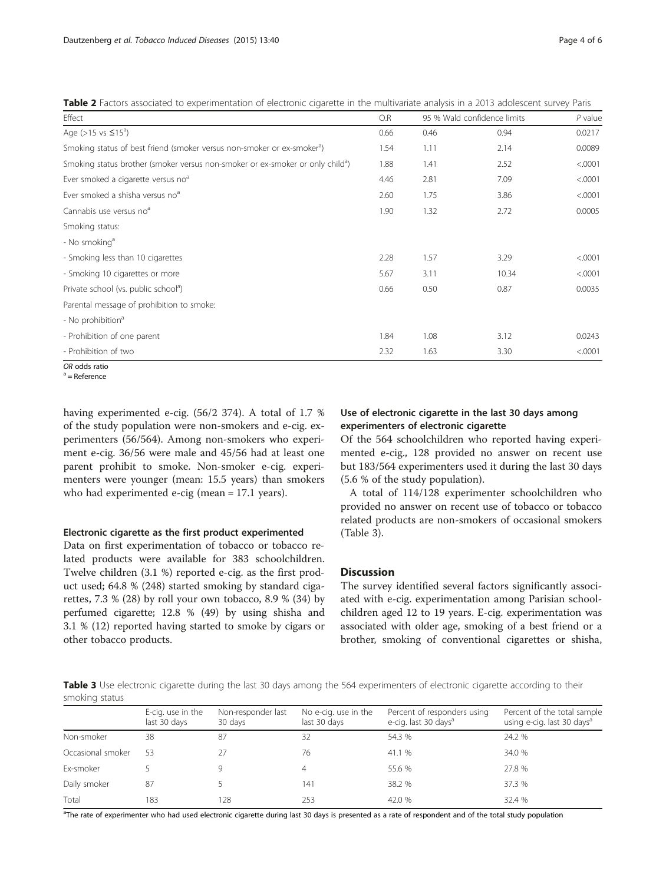<span id="page-3-0"></span>Table 2 Factors associated to experimentation of electronic cigarette in the multivariate analysis in a 2013 adolescent survey Paris

| Effect                                                                                     | O.R  |      | 95 % Wald confidence limits | $P$ value |
|--------------------------------------------------------------------------------------------|------|------|-----------------------------|-----------|
| Age ( $>15$ vs $\leq 15^{\circ}$ )                                                         | 0.66 | 0.46 | 0.94                        | 0.0217    |
| Smoking status of best friend (smoker versus non-smoker or ex-smoker <sup>a</sup> )        | 1.54 | 1.11 | 2.14                        | 0.0089    |
| Smoking status brother (smoker versus non-smoker or ex-smoker or only child <sup>a</sup> ) | 1.88 | 1.41 | 2.52                        | < .0001   |
| Ever smoked a cigarette versus no <sup>a</sup>                                             | 4.46 | 2.81 | 7.09                        | < .0001   |
| Ever smoked a shisha versus no <sup>a</sup>                                                | 2.60 | 1.75 | 3.86                        | < .0001   |
| Cannabis use versus no <sup>a</sup>                                                        | 1.90 | 1.32 | 2.72                        | 0.0005    |
| Smoking status:                                                                            |      |      |                             |           |
| - No smoking <sup>a</sup>                                                                  |      |      |                             |           |
| - Smoking less than 10 cigarettes                                                          | 2.28 | 1.57 | 3.29                        | < .0001   |
| - Smoking 10 cigarettes or more                                                            | 5.67 | 3.11 | 10.34                       | < .0001   |
| Private school (vs. public school <sup>a</sup> )                                           | 0.66 | 0.50 | 0.87                        | 0.0035    |
| Parental message of prohibition to smoke:                                                  |      |      |                             |           |
| - No prohibition <sup>a</sup>                                                              |      |      |                             |           |
| - Prohibition of one parent                                                                | 1.84 | 1.08 | 3.12                        | 0.0243    |
| - Prohibition of two                                                                       | 2.32 | 1.63 | 3.30                        | < .0001   |

OR odds ratio  $a = \text{Reference}$ 

having experimented e-cig. (56/2 374). A total of 1.7 % of the study population were non-smokers and e-cig. experimenters (56/564). Among non-smokers who experiment e-cig. 36/56 were male and 45/56 had at least one parent prohibit to smoke. Non-smoker e-cig. experimenters were younger (mean: 15.5 years) than smokers who had experimented e-cig (mean = 17.1 years).

## Electronic cigarette as the first product experimented

Data on first experimentation of tobacco or tobacco related products were available for 383 schoolchildren. Twelve children (3.1 %) reported e-cig. as the first product used; 64.8 % (248) started smoking by standard cigarettes, 7.3 % (28) by roll your own tobacco, 8.9 % (34) by perfumed cigarette; 12.8 % (49) by using shisha and 3.1 % (12) reported having started to smoke by cigars or other tobacco products.

# Use of electronic cigarette in the last 30 days among experimenters of electronic cigarette

Of the 564 schoolchildren who reported having experimented e-cig., 128 provided no answer on recent use but 183/564 experimenters used it during the last 30 days (5.6 % of the study population).

A total of 114/128 experimenter schoolchildren who provided no answer on recent use of tobacco or tobacco related products are non-smokers of occasional smokers (Table 3).

# **Discussion**

The survey identified several factors significantly associated with e-cig. experimentation among Parisian schoolchildren aged 12 to 19 years. E-cig. experimentation was associated with older age, smoking of a best friend or a brother, smoking of conventional cigarettes or shisha,

Table 3 Use electronic cigarette during the last 30 days among the 564 experimenters of electronic cigarette according to their smoking status

|                   | E-cig. use in the<br>last 30 days | Non-responder last<br>30 days | No e-cig. use in the<br>last 30 days | Percent of responders using<br>e-cig. last 30 days <sup>a</sup> | Percent of the total sample<br>using e-cig. last 30 days <sup>a</sup> |
|-------------------|-----------------------------------|-------------------------------|--------------------------------------|-----------------------------------------------------------------|-----------------------------------------------------------------------|
| Non-smoker        | 38                                | 87                            | 32                                   | 54.3 %                                                          | 24.2 %                                                                |
| Occasional smoker | 53                                |                               | 76                                   | 41.1 %                                                          | 34.0 %                                                                |
| Ex-smoker         |                                   |                               | 4                                    | 55.6 %                                                          | 27.8 %                                                                |
| Daily smoker      | 87                                |                               | 141                                  | 38.2 %                                                          | 37.3 %                                                                |
| Total             | 183                               | 128                           | 253                                  | 42.0 %                                                          | 32.4 %                                                                |

<sup>a</sup>The rate of experimenter who had used electronic cigarette during last 30 days is presented as a rate of respondent and of the total study population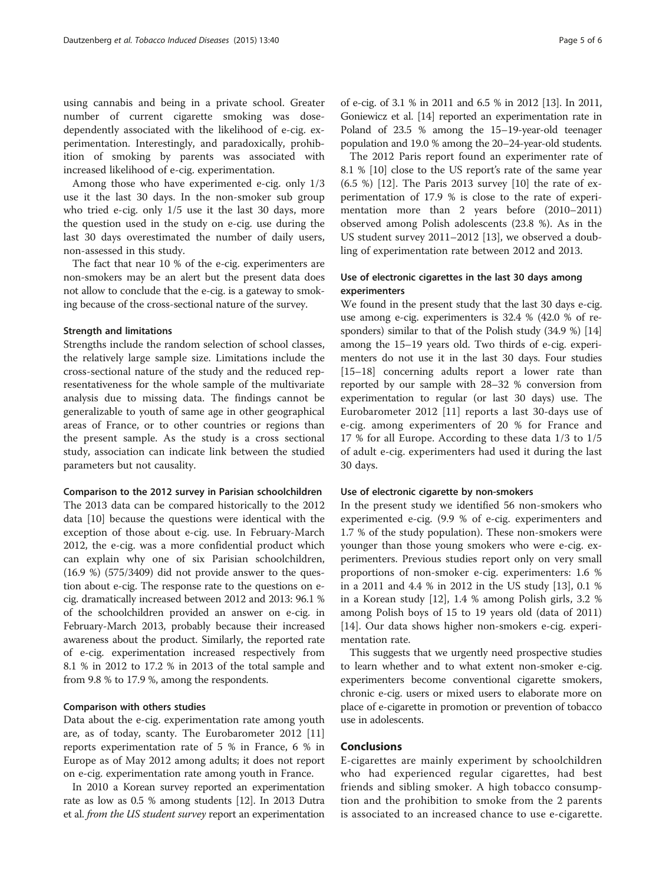using cannabis and being in a private school. Greater number of current cigarette smoking was dosedependently associated with the likelihood of e-cig. experimentation. Interestingly, and paradoxically, prohibition of smoking by parents was associated with increased likelihood of e-cig. experimentation.

Among those who have experimented e-cig. only 1/3 use it the last 30 days. In the non-smoker sub group who tried e-cig. only 1/5 use it the last 30 days, more the question used in the study on e-cig. use during the last 30 days overestimated the number of daily users, non-assessed in this study.

The fact that near 10 % of the e-cig. experimenters are non-smokers may be an alert but the present data does not allow to conclude that the e-cig. is a gateway to smoking because of the cross-sectional nature of the survey.

## Strength and limitations

Strengths include the random selection of school classes, the relatively large sample size. Limitations include the cross-sectional nature of the study and the reduced representativeness for the whole sample of the multivariate analysis due to missing data. The findings cannot be generalizable to youth of same age in other geographical areas of France, or to other countries or regions than the present sample. As the study is a cross sectional study, association can indicate link between the studied parameters but not causality.

#### Comparison to the 2012 survey in Parisian schoolchildren

The 2013 data can be compared historically to the 2012 data [\[10\]](#page-5-0) because the questions were identical with the exception of those about e-cig. use. In February-March 2012, the e-cig. was a more confidential product which can explain why one of six Parisian schoolchildren, (16.9 %) (575/3409) did not provide answer to the question about e-cig. The response rate to the questions on ecig. dramatically increased between 2012 and 2013: 96.1 % of the schoolchildren provided an answer on e-cig. in February-March 2013, probably because their increased awareness about the product. Similarly, the reported rate of e-cig. experimentation increased respectively from 8.1 % in 2012 to 17.2 % in 2013 of the total sample and from 9.8 % to 17.9 %, among the respondents.

#### Comparison with others studies

Data about the e-cig. experimentation rate among youth are, as of today, scanty. The Eurobarometer 2012 [[11](#page-5-0)] reports experimentation rate of 5 % in France, 6 % in Europe as of May 2012 among adults; it does not report on e-cig. experimentation rate among youth in France.

In 2010 a Korean survey reported an experimentation rate as low as 0.5 % among students [\[12](#page-5-0)]. In 2013 Dutra et al. from the US student survey report an experimentation of e-cig. of 3.1 % in 2011 and 6.5 % in 2012 [\[13](#page-5-0)]. In 2011, Goniewicz et al. [\[14\]](#page-5-0) reported an experimentation rate in Poland of 23.5 % among the 15–19-year-old teenager population and 19.0 % among the 20–24-year-old students.

The 2012 Paris report found an experimenter rate of 8.1 % [[10](#page-5-0)] close to the US report's rate of the same year (6.5 %) [[12\]](#page-5-0). The Paris 2013 survey [[10\]](#page-5-0) the rate of experimentation of 17.9 % is close to the rate of experimentation more than 2 years before (2010–2011) observed among Polish adolescents (23.8 %). As in the US student survey 2011–2012 [[13](#page-5-0)], we observed a doubling of experimentation rate between 2012 and 2013.

# Use of electronic cigarettes in the last 30 days among experimenters

We found in the present study that the last 30 days e-cig. use among e-cig. experimenters is 32.4 % (42.0 % of responders) similar to that of the Polish study (34.9 %) [[14](#page-5-0)] among the 15–19 years old. Two thirds of e-cig. experimenters do not use it in the last 30 days. Four studies [[15](#page-5-0)–[18\]](#page-5-0) concerning adults report a lower rate than reported by our sample with 28–32 % conversion from experimentation to regular (or last 30 days) use. The Eurobarometer 2012 [[11\]](#page-5-0) reports a last 30-days use of e-cig. among experimenters of 20 % for France and 17 % for all Europe. According to these data 1/3 to 1/5 of adult e-cig. experimenters had used it during the last 30 days.

#### Use of electronic cigarette by non-smokers

In the present study we identified 56 non-smokers who experimented e-cig. (9.9 % of e-cig. experimenters and 1.7 % of the study population). These non-smokers were younger than those young smokers who were e-cig. experimenters. Previous studies report only on very small proportions of non-smoker e-cig. experimenters: 1.6 % in a 2011 and 4.4 % in 2012 in the US study [[13\]](#page-5-0), 0.1 % in a Korean study [[12\]](#page-5-0), 1.4 % among Polish girls, 3.2 % among Polish boys of 15 to 19 years old (data of 2011) [[14\]](#page-5-0). Our data shows higher non-smokers e-cig. experimentation rate.

This suggests that we urgently need prospective studies to learn whether and to what extent non-smoker e-cig. experimenters become conventional cigarette smokers, chronic e-cig. users or mixed users to elaborate more on place of e-cigarette in promotion or prevention of tobacco use in adolescents.

## Conclusions

E-cigarettes are mainly experiment by schoolchildren who had experienced regular cigarettes, had best friends and sibling smoker. A high tobacco consumption and the prohibition to smoke from the 2 parents is associated to an increased chance to use e-cigarette.